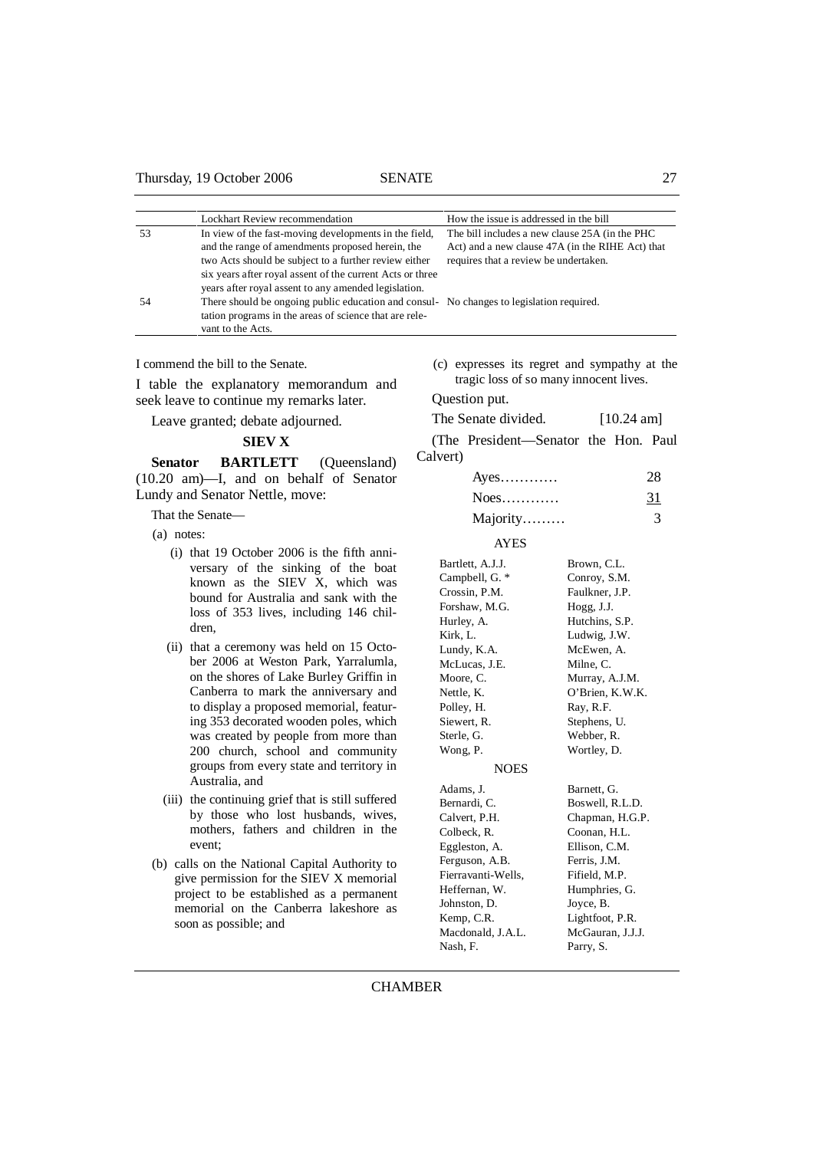## Thursday, 19 October 2006 SENATE 27

|    | Lockhart Review recommendation                                                                                                                                                                                                                                                               | How the issue is addressed in the bill                                                                                                       |
|----|----------------------------------------------------------------------------------------------------------------------------------------------------------------------------------------------------------------------------------------------------------------------------------------------|----------------------------------------------------------------------------------------------------------------------------------------------|
| 53 | In view of the fast-moving developments in the field,<br>and the range of amendments proposed herein, the<br>two Acts should be subject to a further review either                                                                                                                           | The bill includes a new clause 25A (in the PHC)<br>Act) and a new clause 47A (in the RIHE Act) that<br>requires that a review be undertaken. |
| 54 | six years after royal assent of the current Acts or three<br>years after royal assent to any amended legislation.<br>There should be ongoing public education and consul- No changes to legislation required.<br>tation programs in the areas of science that are rele-<br>vant to the Acts. |                                                                                                                                              |

I commend the bill to the Senate.

I table the explanatory memorandum and seek leave to continue my remarks later.

Leave granted; debate adjourned.

## **SIEV X**

Senator BARTLETT (Queensland) (10.20 am)—I, and on behalf of Senator Lundy and Senator Nettle, move:

That the Senate—

- (a) notes:
	- (i) that 19 October 2006 is the fifth anniversary of the sinking of the boat known as the SIEV X, which was bound for Australia and sank with the loss of 353 lives, including 146 children,
	- (ii) that a ceremony was held on 15 October 2006 at Weston Park, Yarralumla, on the shores of Lake Burley Griffin in Canberra to mark the anniversary and to display a proposed memorial, featuring 353 decorated wooden poles, which was created by people from more than 200 church, school and community groups from every state and territory in Australia, and
	- (iii) the continuing grief that is still suffered by those who lost husbands, wives, mothers, fathers and children in the event;
- (b) calls on the National Capital Authority to give permission for the SIEV X memorial project to be established as a permanent memorial on the Canberra lakeshore as soon as possible; and

 (c) expresses its regret and sympathy at the tragic loss of so many innocent lives.

Question put.

## The Senate divided. [10.24 am]

(The President—Senator the Hon. Paul Calvert)

| $Ayes$   | 28 |
|----------|----|
| $Noes$   | 31 |
| Majority |    |

#### AYES

| Bartlett, A.J.J.   | Brown, C.L.      |
|--------------------|------------------|
| Campbell, G. *     | Conroy, S.M.     |
| Crossin, P.M.      | Faulkner, J.P.   |
| Forshaw, M.G.      | Hogg, J.J.       |
| Hurley, A.         | Hutchins, S.P.   |
| Kirk, L.           | Ludwig, J.W.     |
| Lundy, K.A.        | McEwen, A.       |
| McLucas, J.E.      | Milne, C.        |
| Moore, C.          | Murray, A.J.M.   |
| Nettle, K.         | O'Brien, K.W.K.  |
| Polley, H.         | Ray, R.F.        |
| Siewert, R.        | Stephens, U.     |
| Sterle, G.         | Webber, R.       |
| Wong, P.           | Wortley, D.      |
| <b>NOES</b>        |                  |
| Adams, J.          | Barnett, G.      |
| Bernardi, C.       | Boswell, R.L.D.  |
| Calvert, P.H.      | Chapman, H.G.P.  |
| Colbeck, R.        | Coonan, H.L.     |
| Eggleston, A.      | Ellison, C.M.    |
| Ferguson, A.B.     | Ferris, J.M.     |
| Fierravanti-Wells, | Fifield, M.P.    |
| Heffernan, W.      | Humphries, G.    |
| Johnston, D.       | Joyce, B.        |
| Kemp, C.R.         | Lightfoot, P.R.  |
| Macdonald, J.A.L.  | McGauran, J.J.J. |
| Nash, F.           | Parry, S.        |
|                    |                  |

# **CHAMBER**